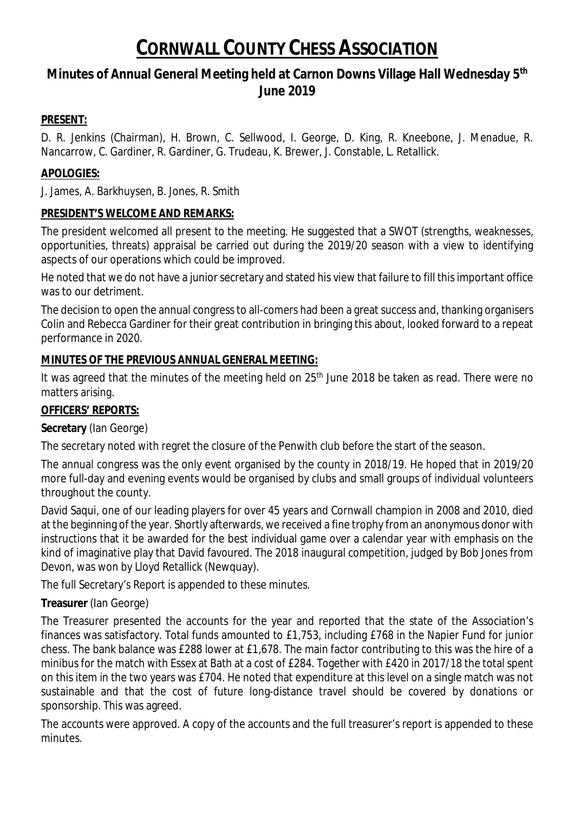# **Minutes of Annual General Meeting held at Carnon Downs Village Hall Wednesday 5th June 2019**

## **PRESENT:**

D. R. Jenkins (Chairman), H. Brown, C. Sellwood, I. George, D. King, R. Kneebone, J. Menadue, R. Nancarrow, C. Gardiner, R. Gardiner, G. Trudeau, K. Brewer, J. Constable, L. Retallick.

## **APOLOGIES:**

J. James, A. Barkhuysen, B. Jones, R. Smith

## **PRESIDENT'S WELCOME AND REMARKS:**

The president welcomed all present to the meeting. He suggested that a SWOT (strengths, weaknesses, opportunities, threats) appraisal be carried out during the 2019/20 season with a view to identifying aspects of our operations which could be improved.

He noted that we do not have a junior secretary and stated his view that failure to fill this important office was to our detriment.

The decision to open the annual congress to all-comers had been a great success and, thanking organisers Colin and Rebecca Gardiner for their great contribution in bringing this about, looked forward to a repeat performance in 2020.

### **MINUTES OF THE PREVIOUS ANNUAL GENERAL MEETING:**

It was agreed that the minutes of the meeting held on 25<sup>th</sup> June 2018 be taken as read. There were no matters arising.

## **OFFICERS' REPORTS:**

**Secretary** (Ian George)

The secretary noted with regret the closure of the Penwith club before the start of the season.

The annual congress was the only event organised by the county in 2018/19. He hoped that in 2019/20 more full-day and evening events would be organised by clubs and small groups of individual volunteers throughout the county.

David Saqui, one of our leading players for over 45 years and Cornwall champion in 2008 and 2010, died at the beginning of the year. Shortly afterwards, we received a fine trophy from an anonymous donor with instructions that it be awarded for the best individual game over a calendar year with emphasis on the kind of imaginative play that David favoured. The 2018 inaugural competition, judged by Bob Jones from Devon, was won by Lloyd Retallick (Newquay).

The full Secretary's Report is appended to these minutes.

## **Treasurer** (Ian George)

The Treasurer presented the accounts for the year and reported that the state of the Association's finances was satisfactory. Total funds amounted to £1,753, including £768 in the Napier Fund for junior chess. The bank balance was £288 lower at £1,678. The main factor contributing to this was the hire of a minibus for the match with Essex at Bath at a cost of £284. Together with £420 in 2017/18 the total spent on this item in the two years was £704. He noted that expenditure at this level on a single match was not sustainable and that the cost of future long-distance travel should be covered by donations or sponsorship. This was agreed.

The accounts were approved. A copy of the accounts and the full treasurer's report is appended to these minutes.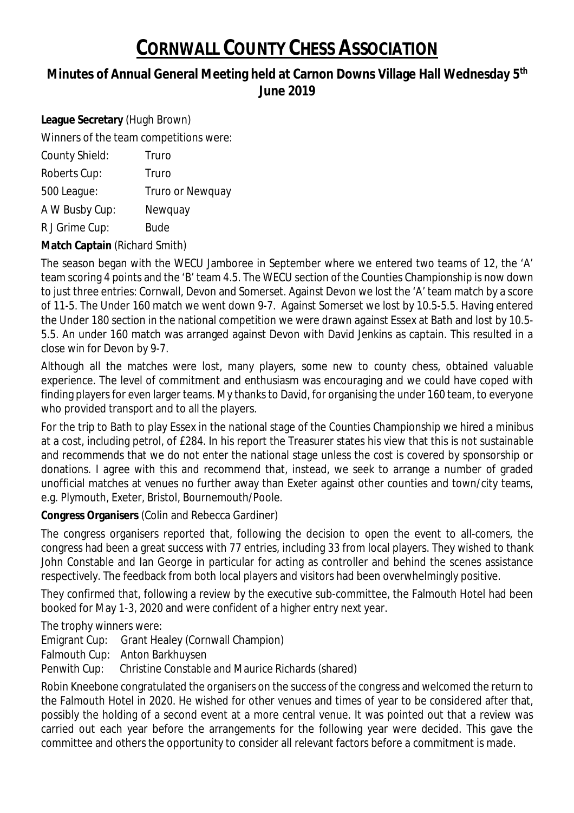# **Minutes of Annual General Meeting held at Carnon Downs Village Hall Wednesday 5th June 2019**

**League Secretary** (Hugh Brown) Winners of the team competitions were: County Shield: Truro Roberts Cup: Truro 500 League: Truro or Newquay A W Busby Cup: Newquay R J Grime Cup: Bude

**Match Captain** (Richard Smith)

The season began with the WECU Jamboree in September where we entered two teams of 12, the 'A' team scoring 4 points and the 'B' team 4.5. The WECU section of the Counties Championship is now down to just three entries: Cornwall, Devon and Somerset. Against Devon we lost the 'A' team match by a score of 11-5. The Under 160 match we went down 9-7. Against Somerset we lost by 10.5-5.5. Having entered the Under 180 section in the national competition we were drawn against Essex at Bath and lost by 10.5- 5.5. An under 160 match was arranged against Devon with David Jenkins as captain. This resulted in a close win for Devon by 9-7.

Although all the matches were lost, many players, some new to county chess, obtained valuable experience. The level of commitment and enthusiasm was encouraging and we could have coped with finding players for even larger teams. My thanks to David, for organising the under 160 team, to everyone who provided transport and to all the players.

For the trip to Bath to play Essex in the national stage of the Counties Championship we hired a minibus at a cost, including petrol, of £284. In his report the Treasurer states his view that this is not sustainable and recommends that we do not enter the national stage unless the cost is covered by sponsorship or donations. I agree with this and recommend that, instead, we seek to arrange a number of graded unofficial matches at venues no further away than Exeter against other counties and town/city teams, e.g. Plymouth, Exeter, Bristol, Bournemouth/Poole.

**Congress Organisers** (Colin and Rebecca Gardiner)

The congress organisers reported that, following the decision to open the event to all-comers, the congress had been a great success with 77 entries, including 33 from local players. They wished to thank John Constable and Ian George in particular for acting as controller and behind the scenes assistance respectively. The feedback from both local players and visitors had been overwhelmingly positive.

They confirmed that, following a review by the executive sub-committee, the Falmouth Hotel had been booked for May 1-3, 2020 and were confident of a higher entry next year.

The trophy winners were:

Emigrant Cup: Grant Healey (Cornwall Champion)

Falmouth Cup: Anton Barkhuysen

Penwith Cup: Christine Constable and Maurice Richards (shared)

Robin Kneebone congratulated the organisers on the success of the congress and welcomed the return to the Falmouth Hotel in 2020. He wished for other venues and times of year to be considered after that, possibly the holding of a second event at a more central venue. It was pointed out that a review was carried out each year before the arrangements for the following year were decided. This gave the committee and others the opportunity to consider all relevant factors before a commitment is made.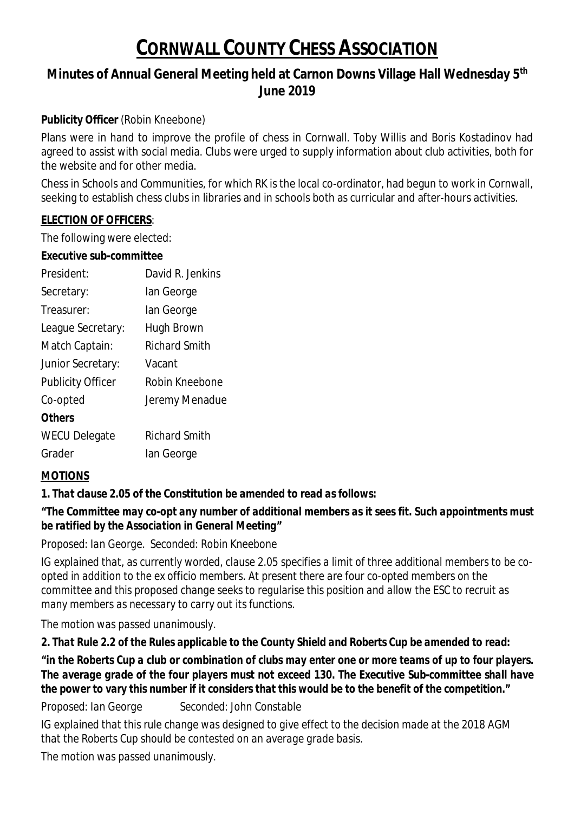# **Minutes of Annual General Meeting held at Carnon Downs Village Hall Wednesday 5th June 2019**

**Publicity Officer** (Robin Kneebone)

Plans were in hand to improve the profile of chess in Cornwall. Toby Willis and Boris Kostadinov had agreed to assist with social media. Clubs were urged to supply information about club activities, both for the website and for other media.

Chess in Schools and Communities, for which RK is the local co-ordinator, had begun to work in Cornwall, seeking to establish chess clubs in libraries and in schools both as curricular and after-hours activities.

### **ELECTION OF OFFICERS**:

The following were elected:

**Executive sub-committee**

| President:               | David R. Jenkins     |
|--------------------------|----------------------|
| Secretary:               | lan George           |
| Treasurer:               | lan George           |
| League Secretary:        | Hugh Brown           |
| Match Captain:           | <b>Richard Smith</b> |
| <b>Junior Secretary:</b> | Vacant               |
| <b>Publicity Officer</b> | Robin Kneebone       |
| Co-opted                 | Jeremy Menadue       |
| <b>Others</b>            |                      |
| <b>WECU Delegate</b>     | <b>Richard Smith</b> |
| Grader                   | lan George           |
|                          |                      |

## **MOTIONS**

**1.** *That clause 2.05 of the Constitution be amended to read as follows:*

*"The Committee may co-opt any number of additional members as it sees fit. Such appointments must be ratified by the Association in General Meeting"*

*Proposed: Ian George. Seconded: Robin Kneebone*

*IG explained that, as currently worded, clause 2.05 specifies a limit of three additional members to be coopted in addition to the ex officio members. At present there are four co-opted members on the committee and this proposed change seeks to regularise this position and allow the ESC to recruit as many members as necessary to carry out its functions.*

*The motion was passed unanimously*.

**2.** *That Rule 2.2 of the Rules applicable to the County Shield and Roberts Cup be amended to read:*

"in the Roberts Cup a club or combination of clubs may enter one or more teams of up to four players. *The average grade of the four players must not exceed 130. The Executive Sub-committee shall have the power to vary this number if it considers that this would be to the benefit of the competition."*

*Proposed: Ian George Seconded: John Constable*

*IG explained that this rule change was designed to give effect to the decision made at the 2018 AGM that the Roberts Cup should be contested on an average grade basis.*

*The motion was passed unanimously*.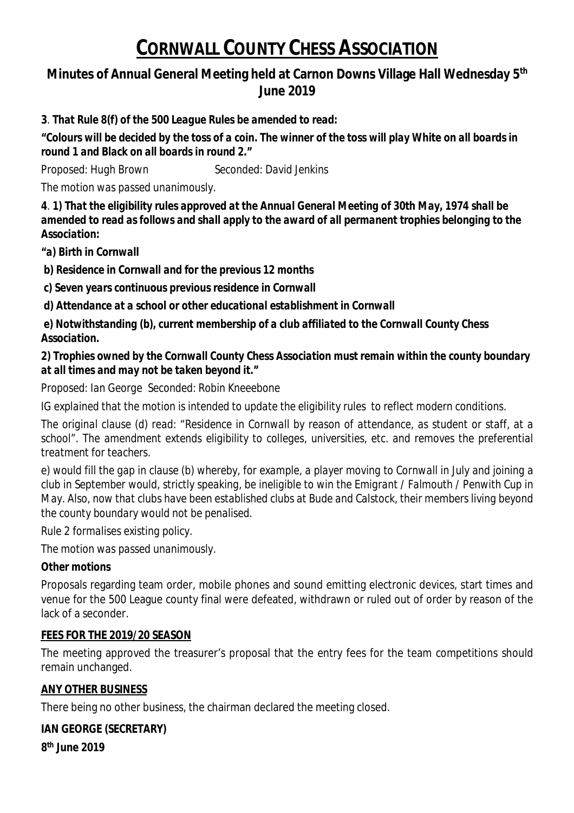# **Minutes of Annual General Meeting held at Carnon Downs Village Hall Wednesday 5th June 2019**

**3***. That Rule 8(f) of the 500 League Rules be amended to read:*

*"Colours will be decided by the toss of a coin. The winner of the toss will play White on all boards in round 1 and Black on all boards in round 2."*

*Proposed: Hugh Brown Seconded: David Jenkins*

*The motion was passed unanimously.*

**4***. 1) That the eligibility rules approved at the Annual General Meeting of 30th May, 1974 shall be amended to read as follows and shall apply to the award of all permanent trophies belonging to the Association:*

*"a) Birth in Cornwall*

*b) Residence in Cornwall and for the previous 12 months*

*c) Seven years continuous previous residence in Cornwall*

*d) Attendance at a school or other educational establishment in Cornwall*

*e) Notwithstanding (b), current membership of a club affiliated to the Cornwall County Chess Association.*

*2) Trophies owned by the Cornwall County Chess Association must remain within the county boundary at all times and may not be taken beyond it."*

*Proposed: Ian George Seconded: Robin Kneeebone*

*IG explained that the motion is intended to update the eligibility rules to reflect modern conditions.*

*The original clause (d) read: "Residence in Cornwall by reason of attendance, as student or staff, at a school". The amendment extends eligibility to colleges, universities, etc. and removes the preferential treatment for teachers.*

e) would fill the gap in clause (b) whereby, for example, a player moving to Cornwall in July and joining a club in September would, strictly speaking, be ineligible to win the Emigrant / Falmouth / Penwith Cup in *May. Also, now that clubs have been established clubs at Bude and Calstock, their members living beyond the county boundary would not be penalised.*

*Rule 2 formalises existing policy.*

*The motion was passed unanimously.*

*Other motions*

Proposals regarding team order, mobile phones and sound emitting electronic devices, start times and venue for the 500 League county final were defeated, withdrawn or ruled out of order by reason of the lack of a seconder.

## **FEES FOR THE 2019/20 SEASON**

The meeting approved the treasurer's proposal that the entry fees for the team competitions should remain unchanged.

## **ANY OTHER BUSINESS**

There being no other business, the chairman declared the meeting closed.

**IAN GEORGE (SECRETARY) 8 th June 2019**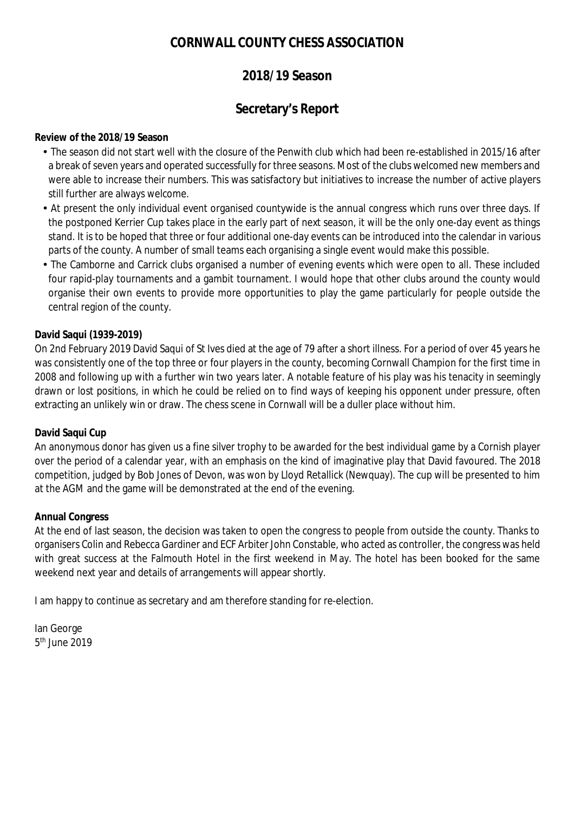## **2018/19 Season**

## **Secretary's Report**

#### **Review of the 2018/19 Season**

- The season did not start well with the closure of the Penwith club which had been re-established in 2015/16 after a break of seven years and operated successfully for three seasons. Most of the clubs welcomed new members and were able to increase their numbers. This was satisfactory but initiatives to increase the number of active players still further are always welcome.
- At present the only individual event organised countywide is the annual congress which runs over three days. If the postponed Kerrier Cup takes place in the early part of next season, it will be the only one-day event as things stand. It is to be hoped that three or four additional one-day events can be introduced into the calendar in various parts of the county. A number of small teams each organising a single event would make this possible.
- The Camborne and Carrick clubs organised a number of evening events which were open to all. These included four rapid-play tournaments and a gambit tournament. I would hope that other clubs around the county would organise their own events to provide more opportunities to play the game particularly for people outside the central region of the county.

#### **David Saqui (1939-2019)**

On 2nd February 2019 David Saqui of St Ives died at the age of 79 after a short illness. For a period of over 45 years he was consistently one of the top three or four players in the county, becoming Cornwall Champion for the first time in 2008 and following up with a further win two years later. A notable feature of his play was his tenacity in seemingly drawn or lost positions, in which he could be relied on to find ways of keeping his opponent under pressure, often extracting an unlikely win or draw. The chess scene in Cornwall will be a duller place without him.

#### **David Saqui Cup**

An anonymous donor has given us a fine silver trophy to be awarded for the best individual game by a Cornish player over the period of a calendar year, with an emphasis on the kind of imaginative play that David favoured. The 2018 competition, judged by Bob Jones of Devon, was won by Lloyd Retallick (Newquay). The cup will be presented to him at the AGM and the game will be demonstrated at the end of the evening.

#### **Annual Congress**

At the end of last season, the decision was taken to open the congress to people from outside the county. Thanks to organisers Colin and Rebecca Gardiner and ECF Arbiter John Constable, who acted as controller, the congress was held with great success at the Falmouth Hotel in the first weekend in May. The hotel has been booked for the same weekend next year and details of arrangements will appear shortly.

I am happy to continue as secretary and am therefore standing for re-election.

Ian George 5<sup>th</sup> June 2019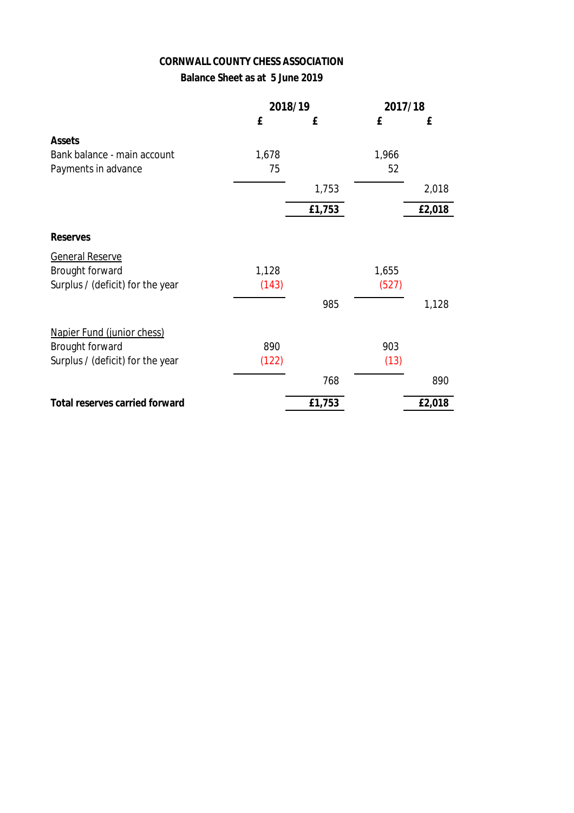#### **Balance Sheet as at 5 June 2019**

|                                  | 2018/19 | 2017/18 |       |        |
|----------------------------------|---------|---------|-------|--------|
|                                  | £       | £       | £     | £      |
| <b>Assets</b>                    |         |         |       |        |
| Bank balance - main account      | 1,678   |         | 1,966 |        |
| Payments in advance              | 75      |         | 52    |        |
|                                  |         | 1,753   |       | 2,018  |
|                                  |         | £1,753  |       | £2,018 |
| <b>Reserves</b>                  |         |         |       |        |
| <b>General Reserve</b>           |         |         |       |        |
| <b>Brought forward</b>           | 1,128   |         | 1,655 |        |
| Surplus / (deficit) for the year | (143)   |         | (527) |        |
|                                  |         | 985     |       | 1,128  |
| Napier Fund (junior chess)       |         |         |       |        |
| <b>Brought forward</b>           | 890     |         | 903   |        |
| Surplus / (deficit) for the year | (122)   |         | (13)  |        |
|                                  |         | 768     |       | 890    |
| Total reserves carried forward   |         | £1,753  |       | £2,018 |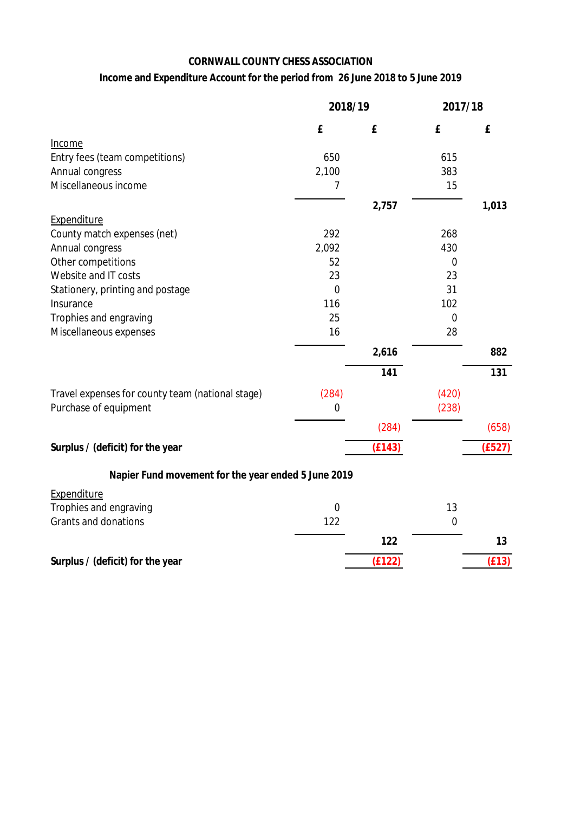### **Income and Expenditure Account for the period from 26 June 2018 to 5 June 2019**

|                                                     | 2018/19     |        | 2017/18     |                  |
|-----------------------------------------------------|-------------|--------|-------------|------------------|
|                                                     | £           | £      | £           | £                |
| Income                                              |             |        |             |                  |
| Entry fees (team competitions)                      | 650         |        | 615         |                  |
| <b>Annual congress</b>                              | 2,100       |        | 383         |                  |
| Miscellaneous income                                | 7           |        | 15          |                  |
|                                                     |             | 2,757  |             | 1,013            |
| <b>Expenditure</b>                                  |             |        |             |                  |
| County match expenses (net)                         | 292         |        | 268         |                  |
| <b>Annual congress</b>                              | 2,092       |        | 430         |                  |
| Other competitions                                  | 52          |        | $\mathbf 0$ |                  |
| Website and IT costs                                | 23          |        | 23          |                  |
| Stationery, printing and postage                    | $\mathbf 0$ |        | 31          |                  |
| Insurance                                           | 116         |        | 102         |                  |
| Trophies and engraving                              | 25          |        | $\mathbf 0$ |                  |
| Miscellaneous expenses                              | 16          |        | 28          |                  |
|                                                     |             | 2,616  |             | 882              |
|                                                     |             | 141    |             | $\overline{131}$ |
| Travel expenses for county team (national stage)    | (284)       |        | (420)       |                  |
| Purchase of equipment                               | $\mathbf 0$ |        | (238)       |                  |
|                                                     |             | (284)  |             | (658)            |
| Surplus / (deficit) for the year                    |             | (E143) |             | (E527)           |
|                                                     |             |        |             |                  |
| Napier Fund movement for the year ended 5 June 2019 |             |        |             |                  |
| Expenditure                                         |             |        |             |                  |
| Trophies and engraving                              | $\mathbf 0$ |        | 13          |                  |
| <b>Grants and donations</b>                         | 122         |        | $\mathbf 0$ |                  |
|                                                     |             | 122    |             | 13               |
| Surplus / (deficit) for the year                    |             | (E122) |             | (E13)            |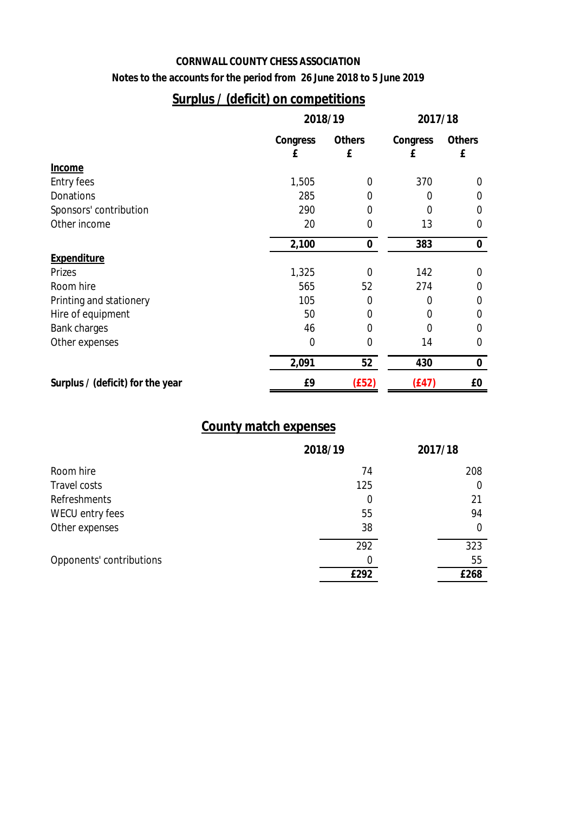**Notes to the accounts for the period from 26 June 2018 to 5 June 2019**

# **Surplus / (deficit) on competitions**

|                                  | 2018/19  |           | 2017/18  |               |  |
|----------------------------------|----------|-----------|----------|---------------|--|
|                                  | Congress | Others    | Congress | <b>Others</b> |  |
|                                  | £        | £         | £        | £             |  |
| <b>Income</b>                    |          |           |          |               |  |
| <b>Entry fees</b>                | 1,505    | 0         | 370      | 0             |  |
| <b>Donations</b>                 | 285      | 0         | 0        | 0             |  |
| Sponsors' contribution           | 290      | 0         | $\Omega$ | 0             |  |
| Other income                     | 20       | 0         | 13       | $\mathbf 0$   |  |
|                                  | 2,100    | $\pmb{0}$ | 383      | $\mathbf 0$   |  |
| <b>Expenditure</b>               |          |           |          |               |  |
| <b>Prizes</b>                    | 1,325    | $\Omega$  | 142      | 0             |  |
| Room hire                        | 565      | 52        | 274      | $\Omega$      |  |
| Printing and stationery          | 105      | 0         | 0        | 0             |  |
| Hire of equipment                | 50       | 0         | $\Omega$ | 0             |  |
| <b>Bank charges</b>              | 46       | 0         | 0        | $\Omega$      |  |
| Other expenses                   | 0        | 0         | 14       | 0             |  |
|                                  | 2,091    | 52        | 430      | $\bf{0}$      |  |
| Surplus / (deficit) for the year | £9       | (E52)     | (E47)    | £0            |  |

## **County match expenses**

|                          | 2018/19 | 2017/18 |
|--------------------------|---------|---------|
| Room hire                | 74      | 208     |
| <b>Travel costs</b>      | 125     | 0       |
| <b>Refreshments</b>      | 0       | 21      |
| WECU entry fees          | 55      | 94      |
| Other expenses           | 38      | 0       |
|                          | 292     | 323     |
| Opponents' contributions | 0       | 55      |
|                          | £292    | £268    |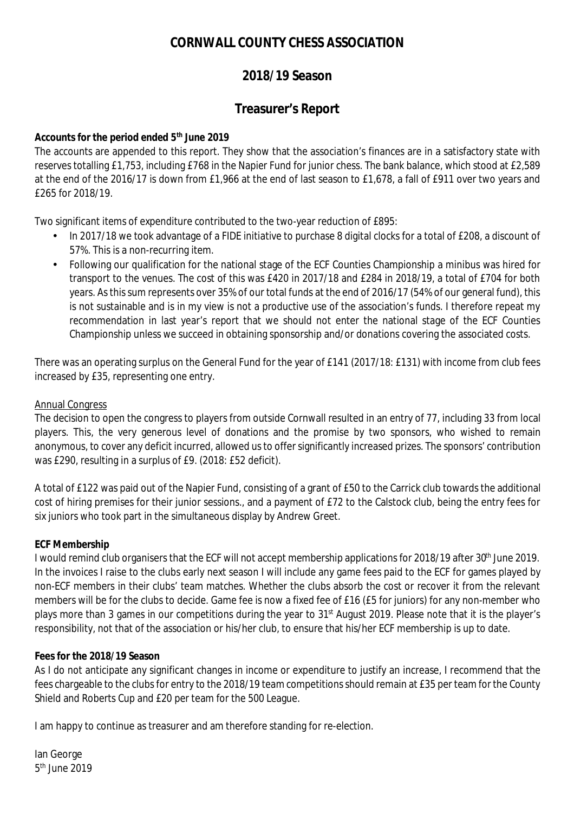## **2018/19 Season**

## **Treasurer's Report**

**Accounts for the period ended 5th June 2019**

The accounts are appended to this report. They show that the association's finances are in a satisfactory state with reserves totalling £1,753, including £768 in the Napier Fund for junior chess. The bank balance, which stood at £2,589 at the end of the 2016/17 is down from £1,966 at the end of last season to £1,678, a fall of £911 over two years and £265 for 2018/19.

Two significant items of expenditure contributed to the two-year reduction of £895:

- In 2017/18 we took advantage of a FIDE initiative to purchase 8 digital clocks for a total of £208, a discount of 57%. This is a non-recurring item.
- Following our qualification for the national stage of the ECF Counties Championship a minibus was hired for transport to the venues. The cost of this was £420 in 2017/18 and £284 in 2018/19, a total of £704 for both years. As this sum represents over 35% of our total funds at the end of 2016/17 (54% of our general fund), this is not sustainable and is in my view is not a productive use of the association's funds. I therefore repeat my recommendation in last year's report that we should not enter the national stage of the ECF Counties Championship unless we succeed in obtaining sponsorship and/or donations covering the associated costs.

There was an operating surplus on the General Fund for the year of £141 (2017/18: £131) with income from club fees increased by £35, representing one entry.

### Annual Congress

The decision to open the congress to players from outside Cornwall resulted in an entry of 77, including 33 from local players. This, the very generous level of donations and the promise by two sponsors, who wished to remain anonymous, to cover any deficit incurred, allowed us to offersignificantly increased prizes. The sponsors' contribution was £290, resulting in a surplus of £9. (2018: £52 deficit).

A total of £122 was paid out of the Napier Fund, consisting of a grant of £50 to the Carrick club towards the additional cost of hiring premises for their junior sessions., and a payment of £72 to the Calstock club, being the entry fees for six juniors who took part in the simultaneous display by Andrew Greet.

#### **ECF Membership**

I would remind club organisers that the ECF will not accept membership applications for 2018/19 after 30<sup>th</sup> June 2019. In the invoices I raise to the clubs early next season I will include any game fees paid to the ECF for games played by non-ECF members in their clubs' team matches. Whether the clubs absorb the cost or recover it from the relevant members will be for the clubs to decide. Game fee is now a fixed fee of £16 (£5 for juniors) for any non-member who plays more than 3 games in our competitions during the year to 31st August 2019. Please note that it is the player's responsibility, not that of the association or his/her club, to ensure that his/her ECF membership is up to date.

#### **Fees for the 2018/19 Season**

As I do not anticipate any significant changes in income or expenditure to justify an increase, I recommend that the fees chargeable to the clubs for entry to the 2018/19 team competitionsshould remain at £35 per team for the County Shield and Roberts Cup and £20 per team for the 500 League.

I am happy to continue as treasurer and am therefore standing for re-election.

Ian George 5<sup>th</sup> June 2019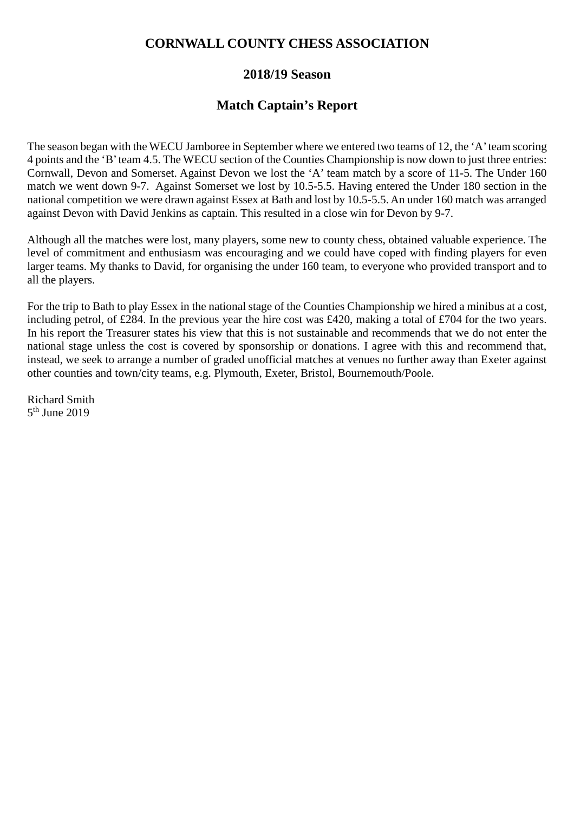## **2018/19 Season**

## **Match Captain's Report**

The season began with the WECU Jamboree in September where we entered two teams of 12, the 'A'team scoring 4 points and the 'B'team 4.5. The WECU section of the Counties Championship is now down to just three entries: Cornwall, Devon and Somerset. Against Devon we lost the 'A' team match by a score of 11-5. The Under 160 match we went down 9-7. Against Somerset we lost by 10.5-5.5. Having entered the Under 180 section in the national competition we were drawn against Essex at Bath and lost by 10.5-5.5. An under 160 match was arranged against Devon with David Jenkins as captain. This resulted in a close win for Devon by 9-7.

Although all the matches were lost, many players, some new to county chess, obtained valuable experience. The level of commitment and enthusiasm was encouraging and we could have coped with finding players for even larger teams. My thanks to David, for organising the under 160 team, to everyone who provided transport and to all the players.

For the trip to Bath to play Essex in the national stage of the Counties Championship we hired a minibus at a cost, including petrol, of £284. In the previous year the hire cost was £420, making a total of £704 for the two years. In his report the Treasurer states his view that this is not sustainable and recommends that we do not enter the national stage unless the cost is covered by sponsorship or donations. I agree with this and recommend that, instead, we seek to arrange a number of graded unofficial matches at venues no further away than Exeter against other counties and town/city teams, e.g. Plymouth, Exeter, Bristol, Bournemouth/Poole.

Richard Smith 5<sup>th</sup> June 2019